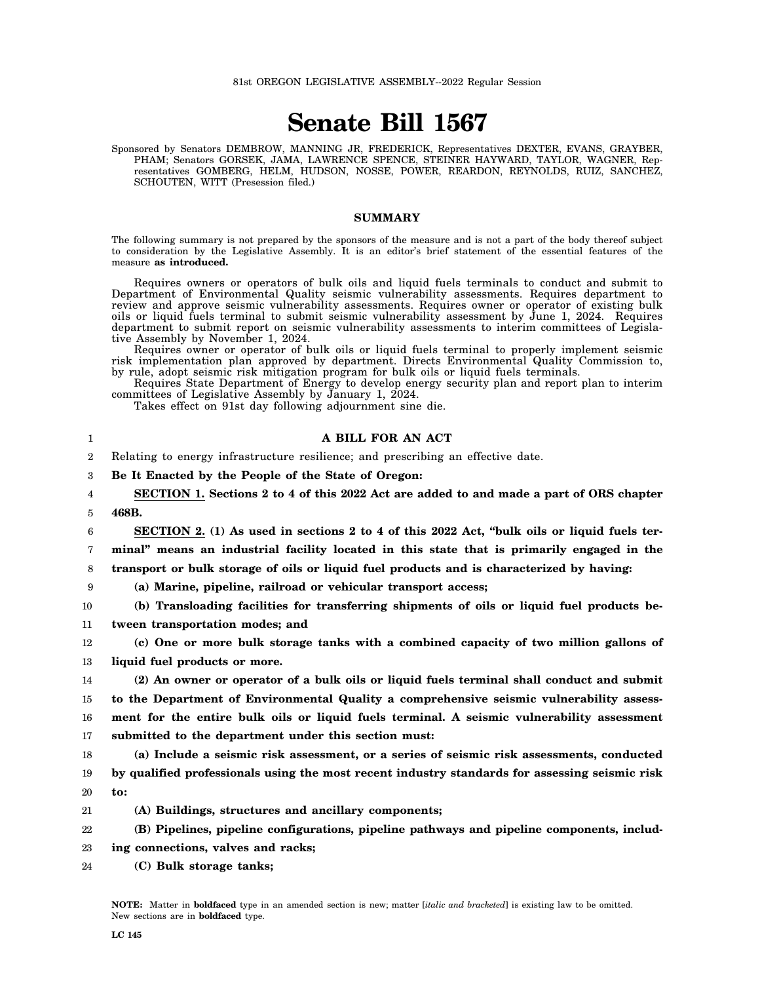# **Senate Bill 1567**

Sponsored by Senators DEMBROW, MANNING JR, FREDERICK, Representatives DEXTER, EVANS, GRAYBER, PHAM; Senators GORSEK, JAMA, LAWRENCE SPENCE, STEINER HAYWARD, TAYLOR, WAGNER, Representatives GOMBERG, HELM, HUDSON, NOSSE, POWER, REARDON, REYNOLDS, RUIZ, SANCHEZ, SCHOUTEN, WITT (Presession filed.)

### **SUMMARY**

The following summary is not prepared by the sponsors of the measure and is not a part of the body thereof subject to consideration by the Legislative Assembly. It is an editor's brief statement of the essential features of the measure **as introduced.**

Requires owners or operators of bulk oils and liquid fuels terminals to conduct and submit to Department of Environmental Quality seismic vulnerability assessments. Requires department to review and approve seismic vulnerability assessments. Requires owner or operator of existing bulk oils or liquid fuels terminal to submit seismic vulnerability assessment by June 1, 2024. Requires department to submit report on seismic vulnerability assessments to interim committees of Legislative Assembly by November 1, 2024.

Requires owner or operator of bulk oils or liquid fuels terminal to properly implement seismic risk implementation plan approved by department. Directs Environmental Quality Commission to, by rule, adopt seismic risk mitigation program for bulk oils or liquid fuels terminals.

Requires State Department of Energy to develop energy security plan and report plan to interim committees of Legislative Assembly by January 1, 2024.

**A BILL FOR AN ACT**

Takes effect on 91st day following adjournment sine die.

|                  | A BILL FOR AN ACT                                                                              |
|------------------|------------------------------------------------------------------------------------------------|
| $\boldsymbol{2}$ | Relating to energy infrastructure resilience; and prescribing an effective date.               |
| 3                | Be It Enacted by the People of the State of Oregon:                                            |
| 4                | SECTION 1. Sections 2 to 4 of this 2022 Act are added to and made a part of ORS chapter        |
| 5                | 468B.                                                                                          |
| 6                | SECTION 2. (1) As used in sections 2 to 4 of this 2022 Act, "bulk oils or liquid fuels ter-    |
| 7                | minal" means an industrial facility located in this state that is primarily engaged in the     |
| 8                | transport or bulk storage of oils or liquid fuel products and is characterized by having:      |
| 9                | (a) Marine, pipeline, railroad or vehicular transport access;                                  |
| 10               | (b) Transloading facilities for transferring shipments of oils or liquid fuel products be-     |
| 11               | tween transportation modes; and                                                                |
| 12               | (c) One or more bulk storage tanks with a combined capacity of two million gallons of          |
| 13               | liquid fuel products or more.                                                                  |
| 14               | (2) An owner or operator of a bulk oils or liquid fuels terminal shall conduct and submit      |
| 15               | to the Department of Environmental Quality a comprehensive seismic vulnerability assess-       |
| 16               | ment for the entire bulk oils or liquid fuels terminal. A seismic vulnerability assessment     |
| 17               | submitted to the department under this section must:                                           |
| 18               | (a) Include a seismic risk assessment, or a series of seismic risk assessments, conducted      |
| 19               | by qualified professionals using the most recent industry standards for assessing seismic risk |
| 20               | to:                                                                                            |
| 21               | (A) Buildings, structures and ancillary components;                                            |
| 22               | (B) Pipelines, pipeline configurations, pipeline pathways and pipeline components, includ-     |
| 23               | ing connections, valves and racks;                                                             |
| 24               | (C) Bulk storage tanks;                                                                        |
|                  |                                                                                                |

**NOTE:** Matter in **boldfaced** type in an amended section is new; matter [*italic and bracketed*] is existing law to be omitted. New sections are in **boldfaced** type.

1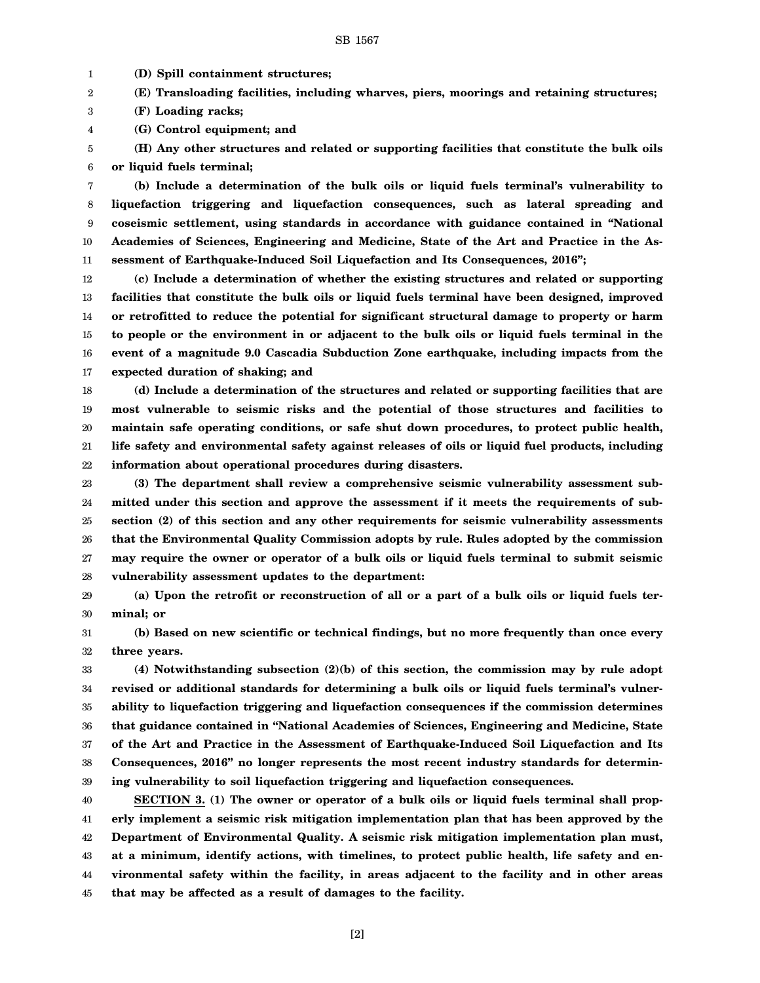1 **(D) Spill containment structures;**

2 **(E) Transloading facilities, including wharves, piers, moorings and retaining structures;**

3 **(F) Loading racks;**

4 **(G) Control equipment; and**

5 6 **(H) Any other structures and related or supporting facilities that constitute the bulk oils or liquid fuels terminal;**

7 8 9 10 11 **(b) Include a determination of the bulk oils or liquid fuels terminal's vulnerability to liquefaction triggering and liquefaction consequences, such as lateral spreading and coseismic settlement, using standards in accordance with guidance contained in "National Academies of Sciences, Engineering and Medicine, State of the Art and Practice in the Assessment of Earthquake-Induced Soil Liquefaction and Its Consequences, 2016";**

12 13 14 15 16 17 **(c) Include a determination of whether the existing structures and related or supporting facilities that constitute the bulk oils or liquid fuels terminal have been designed, improved or retrofitted to reduce the potential for significant structural damage to property or harm to people or the environment in or adjacent to the bulk oils or liquid fuels terminal in the event of a magnitude 9.0 Cascadia Subduction Zone earthquake, including impacts from the expected duration of shaking; and**

18 19 20 21 22 **(d) Include a determination of the structures and related or supporting facilities that are most vulnerable to seismic risks and the potential of those structures and facilities to maintain safe operating conditions, or safe shut down procedures, to protect public health, life safety and environmental safety against releases of oils or liquid fuel products, including information about operational procedures during disasters.**

23 24 25 26 27 28 **(3) The department shall review a comprehensive seismic vulnerability assessment submitted under this section and approve the assessment if it meets the requirements of subsection (2) of this section and any other requirements for seismic vulnerability assessments that the Environmental Quality Commission adopts by rule. Rules adopted by the commission may require the owner or operator of a bulk oils or liquid fuels terminal to submit seismic vulnerability assessment updates to the department:**

29 30 **(a) Upon the retrofit or reconstruction of all or a part of a bulk oils or liquid fuels terminal; or**

31 32 **(b) Based on new scientific or technical findings, but no more frequently than once every three years.**

33 34 35 36 37 38 39 **(4) Notwithstanding subsection (2)(b) of this section, the commission may by rule adopt revised or additional standards for determining a bulk oils or liquid fuels terminal's vulnerability to liquefaction triggering and liquefaction consequences if the commission determines that guidance contained in "National Academies of Sciences, Engineering and Medicine, State of the Art and Practice in the Assessment of Earthquake-Induced Soil Liquefaction and Its Consequences, 2016" no longer represents the most recent industry standards for determining vulnerability to soil liquefaction triggering and liquefaction consequences.**

40 41 42 43 44 45 **SECTION 3. (1) The owner or operator of a bulk oils or liquid fuels terminal shall properly implement a seismic risk mitigation implementation plan that has been approved by the Department of Environmental Quality. A seismic risk mitigation implementation plan must, at a minimum, identify actions, with timelines, to protect public health, life safety and environmental safety within the facility, in areas adjacent to the facility and in other areas that may be affected as a result of damages to the facility.**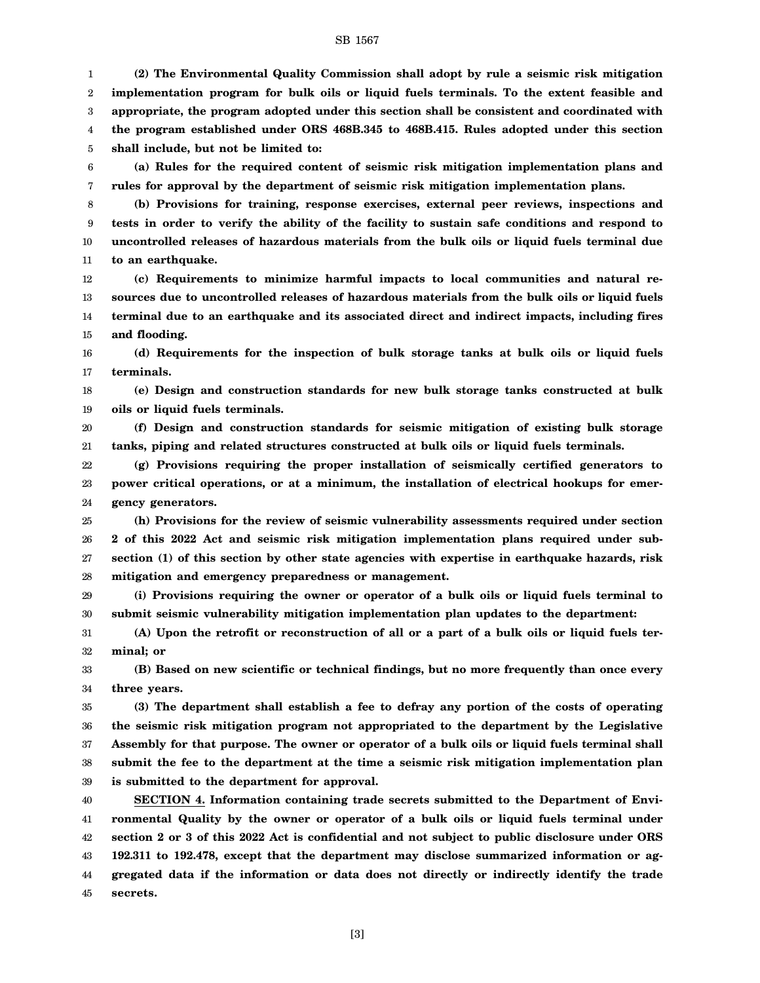1 2 3 4 5 **(2) The Environmental Quality Commission shall adopt by rule a seismic risk mitigation implementation program for bulk oils or liquid fuels terminals. To the extent feasible and appropriate, the program adopted under this section shall be consistent and coordinated with the program established under ORS 468B.345 to 468B.415. Rules adopted under this section shall include, but not be limited to:**

6 7 **(a) Rules for the required content of seismic risk mitigation implementation plans and rules for approval by the department of seismic risk mitigation implementation plans.**

8 9 10 11 **(b) Provisions for training, response exercises, external peer reviews, inspections and tests in order to verify the ability of the facility to sustain safe conditions and respond to uncontrolled releases of hazardous materials from the bulk oils or liquid fuels terminal due to an earthquake.**

12 13 14 15 **(c) Requirements to minimize harmful impacts to local communities and natural resources due to uncontrolled releases of hazardous materials from the bulk oils or liquid fuels terminal due to an earthquake and its associated direct and indirect impacts, including fires and flooding.**

16 17 **(d) Requirements for the inspection of bulk storage tanks at bulk oils or liquid fuels terminals.**

18 19 **(e) Design and construction standards for new bulk storage tanks constructed at bulk oils or liquid fuels terminals.**

20 21 **(f) Design and construction standards for seismic mitigation of existing bulk storage tanks, piping and related structures constructed at bulk oils or liquid fuels terminals.**

22 23 24 **(g) Provisions requiring the proper installation of seismically certified generators to power critical operations, or at a minimum, the installation of electrical hookups for emergency generators.**

25 26 27 28 **(h) Provisions for the review of seismic vulnerability assessments required under section 2 of this 2022 Act and seismic risk mitigation implementation plans required under subsection (1) of this section by other state agencies with expertise in earthquake hazards, risk mitigation and emergency preparedness or management.**

29 30 **(i) Provisions requiring the owner or operator of a bulk oils or liquid fuels terminal to submit seismic vulnerability mitigation implementation plan updates to the department:**

31 32 **(A) Upon the retrofit or reconstruction of all or a part of a bulk oils or liquid fuels terminal; or**

33 34 **(B) Based on new scientific or technical findings, but no more frequently than once every three years.**

35 36 37 38 39 **(3) The department shall establish a fee to defray any portion of the costs of operating the seismic risk mitigation program not appropriated to the department by the Legislative Assembly for that purpose. The owner or operator of a bulk oils or liquid fuels terminal shall submit the fee to the department at the time a seismic risk mitigation implementation plan is submitted to the department for approval.**

40 41 42 43 44 45 **SECTION 4. Information containing trade secrets submitted to the Department of Environmental Quality by the owner or operator of a bulk oils or liquid fuels terminal under section 2 or 3 of this 2022 Act is confidential and not subject to public disclosure under ORS 192.311 to 192.478, except that the department may disclose summarized information or aggregated data if the information or data does not directly or indirectly identify the trade secrets.**

[3]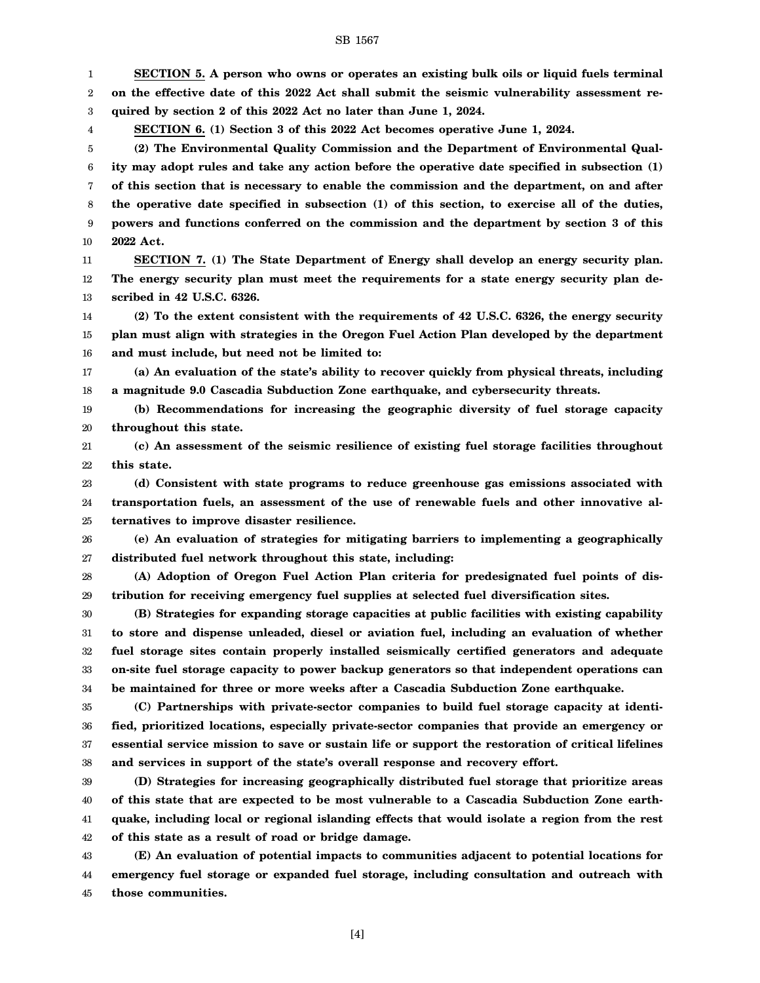1 2 3 4 5 6 7 8 9 10 11 12 13 14 15 16 17 18 19 20 21 22 23 24 25 26 27 28 29 30 31 32 33 34 35 36 37 38 39 40 41 42 **SECTION 5. A person who owns or operates an existing bulk oils or liquid fuels terminal on the effective date of this 2022 Act shall submit the seismic vulnerability assessment required by section 2 of this 2022 Act no later than June 1, 2024. SECTION 6. (1) Section 3 of this 2022 Act becomes operative June 1, 2024. (2) The Environmental Quality Commission and the Department of Environmental Quality may adopt rules and take any action before the operative date specified in subsection (1) of this section that is necessary to enable the commission and the department, on and after the operative date specified in subsection (1) of this section, to exercise all of the duties, powers and functions conferred on the commission and the department by section 3 of this 2022 Act. SECTION 7. (1) The State Department of Energy shall develop an energy security plan. The energy security plan must meet the requirements for a state energy security plan described in 42 U.S.C. 6326. (2) To the extent consistent with the requirements of 42 U.S.C. 6326, the energy security plan must align with strategies in the Oregon Fuel Action Plan developed by the department and must include, but need not be limited to: (a) An evaluation of the state's ability to recover quickly from physical threats, including a magnitude 9.0 Cascadia Subduction Zone earthquake, and cybersecurity threats. (b) Recommendations for increasing the geographic diversity of fuel storage capacity throughout this state. (c) An assessment of the seismic resilience of existing fuel storage facilities throughout this state. (d) Consistent with state programs to reduce greenhouse gas emissions associated with transportation fuels, an assessment of the use of renewable fuels and other innovative alternatives to improve disaster resilience. (e) An evaluation of strategies for mitigating barriers to implementing a geographically distributed fuel network throughout this state, including: (A) Adoption of Oregon Fuel Action Plan criteria for predesignated fuel points of distribution for receiving emergency fuel supplies at selected fuel diversification sites. (B) Strategies for expanding storage capacities at public facilities with existing capability to store and dispense unleaded, diesel or aviation fuel, including an evaluation of whether fuel storage sites contain properly installed seismically certified generators and adequate on-site fuel storage capacity to power backup generators so that independent operations can be maintained for three or more weeks after a Cascadia Subduction Zone earthquake. (C) Partnerships with private-sector companies to build fuel storage capacity at identified, prioritized locations, especially private-sector companies that provide an emergency or essential service mission to save or sustain life or support the restoration of critical lifelines and services in support of the state's overall response and recovery effort. (D) Strategies for increasing geographically distributed fuel storage that prioritize areas of this state that are expected to be most vulnerable to a Cascadia Subduction Zone earthquake, including local or regional islanding effects that would isolate a region from the rest of this state as a result of road or bridge damage.**

SB 1567

43 44 45 **(E) An evaluation of potential impacts to communities adjacent to potential locations for emergency fuel storage or expanded fuel storage, including consultation and outreach with those communities.**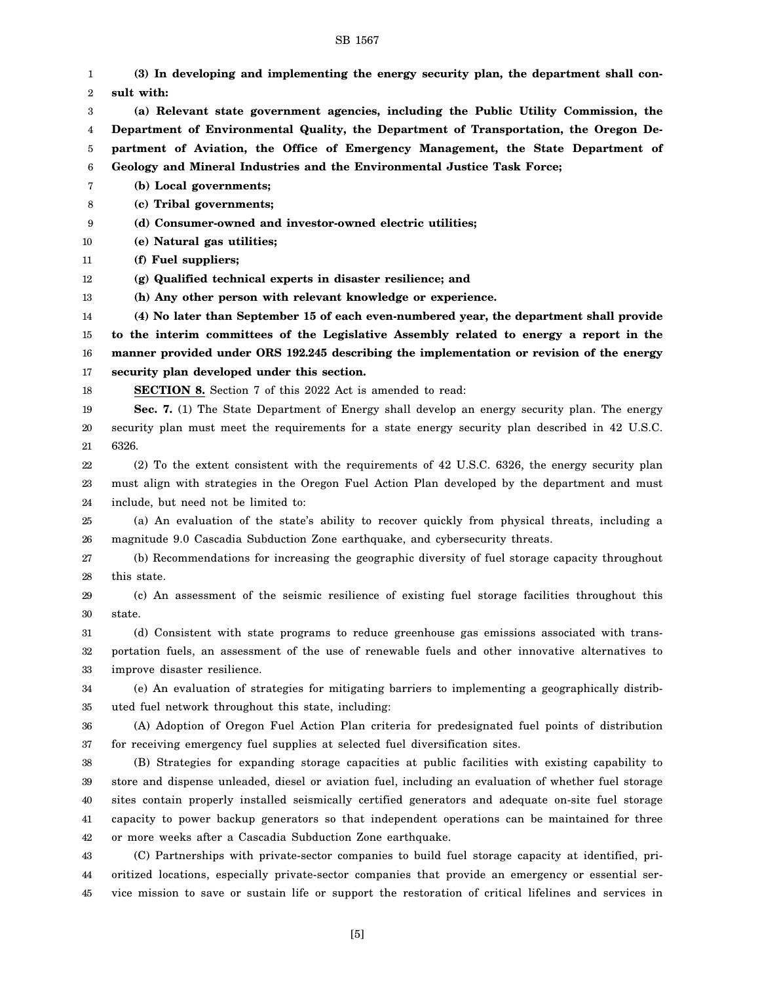#### SB 1567

1 2 3 4 5 6 7 8 9 10 11 12 13 14 15 16 17 18 19 20 21 22 23 24 25 26 27 28 29 30 31 32 33 34 35 36 37 38 39 40 41 42 43 44 **(3) In developing and implementing the energy security plan, the department shall consult with: (a) Relevant state government agencies, including the Public Utility Commission, the Department of Environmental Quality, the Department of Transportation, the Oregon Department of Aviation, the Office of Emergency Management, the State Department of Geology and Mineral Industries and the Environmental Justice Task Force; (b) Local governments; (c) Tribal governments; (d) Consumer-owned and investor-owned electric utilities; (e) Natural gas utilities; (f) Fuel suppliers; (g) Qualified technical experts in disaster resilience; and (h) Any other person with relevant knowledge or experience. (4) No later than September 15 of each even-numbered year, the department shall provide to the interim committees of the Legislative Assembly related to energy a report in the manner provided under ORS 192.245 describing the implementation or revision of the energy security plan developed under this section. SECTION 8.** Section 7 of this 2022 Act is amended to read: **Sec. 7.** (1) The State Department of Energy shall develop an energy security plan. The energy security plan must meet the requirements for a state energy security plan described in 42 U.S.C. 6326. (2) To the extent consistent with the requirements of 42 U.S.C. 6326, the energy security plan must align with strategies in the Oregon Fuel Action Plan developed by the department and must include, but need not be limited to: (a) An evaluation of the state's ability to recover quickly from physical threats, including a magnitude 9.0 Cascadia Subduction Zone earthquake, and cybersecurity threats. (b) Recommendations for increasing the geographic diversity of fuel storage capacity throughout this state. (c) An assessment of the seismic resilience of existing fuel storage facilities throughout this state. (d) Consistent with state programs to reduce greenhouse gas emissions associated with transportation fuels, an assessment of the use of renewable fuels and other innovative alternatives to improve disaster resilience. (e) An evaluation of strategies for mitigating barriers to implementing a geographically distributed fuel network throughout this state, including: (A) Adoption of Oregon Fuel Action Plan criteria for predesignated fuel points of distribution for receiving emergency fuel supplies at selected fuel diversification sites. (B) Strategies for expanding storage capacities at public facilities with existing capability to store and dispense unleaded, diesel or aviation fuel, including an evaluation of whether fuel storage sites contain properly installed seismically certified generators and adequate on-site fuel storage capacity to power backup generators so that independent operations can be maintained for three or more weeks after a Cascadia Subduction Zone earthquake. (C) Partnerships with private-sector companies to build fuel storage capacity at identified, prioritized locations, especially private-sector companies that provide an emergency or essential ser-

vice mission to save or sustain life or support the restoration of critical lifelines and services in

45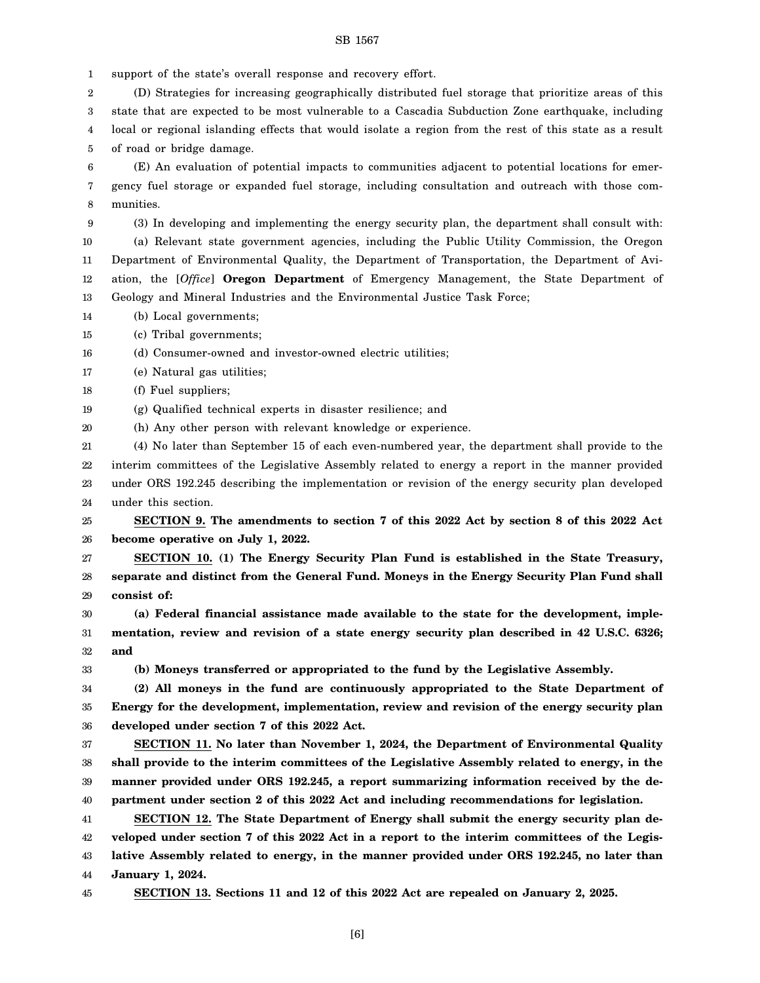#### SB 1567

1 support of the state's overall response and recovery effort.

2 3 4 5 (D) Strategies for increasing geographically distributed fuel storage that prioritize areas of this state that are expected to be most vulnerable to a Cascadia Subduction Zone earthquake, including local or regional islanding effects that would isolate a region from the rest of this state as a result of road or bridge damage.

6 7 8 (E) An evaluation of potential impacts to communities adjacent to potential locations for emergency fuel storage or expanded fuel storage, including consultation and outreach with those communities.

9 10 11 12 13 (3) In developing and implementing the energy security plan, the department shall consult with: (a) Relevant state government agencies, including the Public Utility Commission, the Oregon Department of Environmental Quality, the Department of Transportation, the Department of Aviation, the [*Office*] **Oregon Department** of Emergency Management, the State Department of Geology and Mineral Industries and the Environmental Justice Task Force;

14 (b) Local governments;

15 (c) Tribal governments;

16 (d) Consumer-owned and investor-owned electric utilities;

17 (e) Natural gas utilities;

18 (f) Fuel suppliers;

19 (g) Qualified technical experts in disaster resilience; and

20 (h) Any other person with relevant knowledge or experience.

21 22 23 24 (4) No later than September 15 of each even-numbered year, the department shall provide to the interim committees of the Legislative Assembly related to energy a report in the manner provided under ORS 192.245 describing the implementation or revision of the energy security plan developed under this section.

25 26 **SECTION 9. The amendments to section 7 of this 2022 Act by section 8 of this 2022 Act become operative on July 1, 2022.**

27 28 29 **SECTION 10. (1) The Energy Security Plan Fund is established in the State Treasury, separate and distinct from the General Fund. Moneys in the Energy Security Plan Fund shall consist of:**

30 31 32 **(a) Federal financial assistance made available to the state for the development, implementation, review and revision of a state energy security plan described in 42 U.S.C. 6326; and**

33

**(b) Moneys transferred or appropriated to the fund by the Legislative Assembly.**

34 35 36 **(2) All moneys in the fund are continuously appropriated to the State Department of Energy for the development, implementation, review and revision of the energy security plan developed under section 7 of this 2022 Act.**

37 38 39 40 **SECTION 11. No later than November 1, 2024, the Department of Environmental Quality shall provide to the interim committees of the Legislative Assembly related to energy, in the manner provided under ORS 192.245, a report summarizing information received by the department under section 2 of this 2022 Act and including recommendations for legislation.**

41 42 43 44 **SECTION 12. The State Department of Energy shall submit the energy security plan developed under section 7 of this 2022 Act in a report to the interim committees of the Legislative Assembly related to energy, in the manner provided under ORS 192.245, no later than January 1, 2024.**

45

**SECTION 13. Sections 11 and 12 of this 2022 Act are repealed on January 2, 2025.**